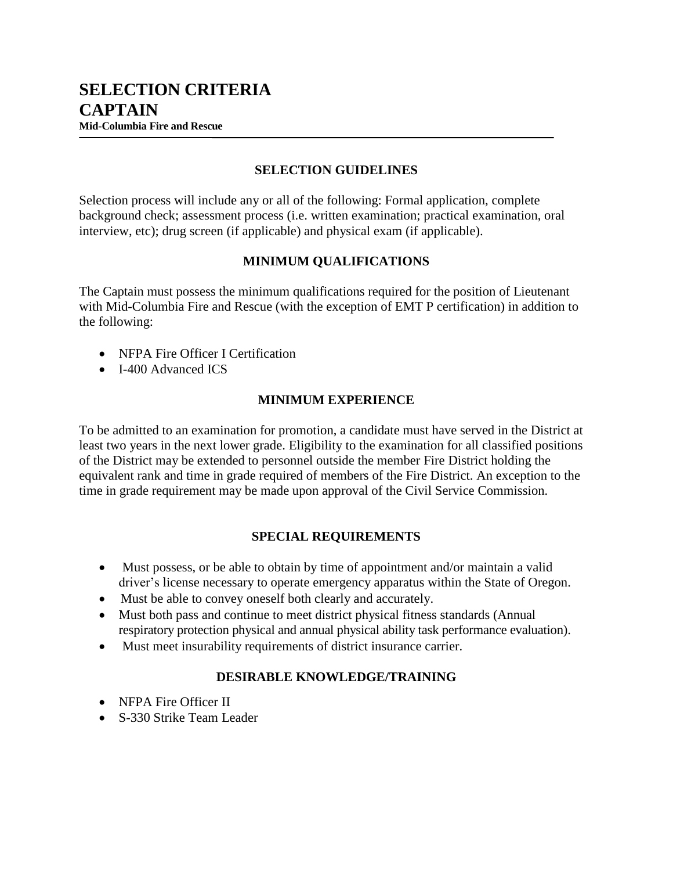#### **SELECTION GUIDELINES**

Selection process will include any or all of the following: Formal application, complete background check; assessment process (i.e. written examination; practical examination, oral interview, etc); drug screen (if applicable) and physical exam (if applicable).

## **MINIMUM QUALIFICATIONS**

The Captain must possess the minimum qualifications required for the position of Lieutenant with Mid-Columbia Fire and Rescue (with the exception of EMT P certification) in addition to the following:

- NFPA Fire Officer I Certification
- I-400 Advanced ICS

## **MINIMUM EXPERIENCE**

To be admitted to an examination for promotion, a candidate must have served in the District at least two years in the next lower grade. Eligibility to the examination for all classified positions of the District may be extended to personnel outside the member Fire District holding the equivalent rank and time in grade required of members of the Fire District. An exception to the time in grade requirement may be made upon approval of the Civil Service Commission.

#### **SPECIAL REQUIREMENTS**

- Must possess, or be able to obtain by time of appointment and/or maintain a valid driver's license necessary to operate emergency apparatus within the State of Oregon.
- Must be able to convey oneself both clearly and accurately.
- Must both pass and continue to meet district physical fitness standards (Annual respiratory protection physical and annual physical ability task performance evaluation).
- Must meet insurability requirements of district insurance carrier.

# **DESIRABLE KNOWLEDGE/TRAINING**

- NFPA Fire Officer II
- S-330 Strike Team Leader